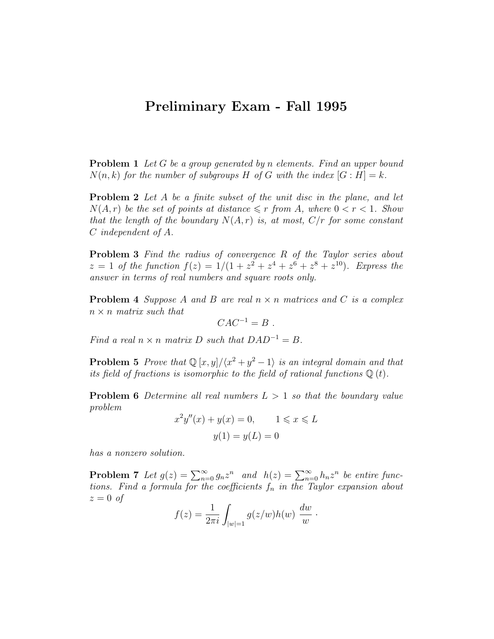## Preliminary Exam - Fall 1995

**Problem 1** Let G be a group generated by n elements. Find an upper bound  $N(n, k)$  for the number of subgroups H of G with the index  $|G : H| = k$ .

**Problem 2** Let A be a finite subset of the unit disc in the plane, and let  $N(A, r)$  be the set of points at distance  $\leq r$  from A, where  $0 < r < 1$ . Show that the length of the boundary  $N(A,r)$  is, at most,  $C/r$  for some constant C independent of A.

Problem 3 Find the radius of convergence R of the Taylor series about  $z = 1$  of the function  $f(z) = 1/(1 + z^2 + z^4 + z^6 + z^8 + z^{10})$ . Express the answer in terms of real numbers and square roots only.

**Problem 4** Suppose A and B are real  $n \times n$  matrices and C is a complex  $n \times n$  matrix such that

$$
CAC^{-1}=B.
$$

Find a real  $n \times n$  matrix D such that  $DAD^{-1} = B$ .

**Problem 5** Prove that  $\mathbb{Q}[x, y]/\langle x^2 + y^2 - 1 \rangle$  is an integral domain and that its field of fractions is isomorphic to the field of rational functions  $\mathbb{Q}(t)$ .

**Problem 6** Determine all real numbers  $L > 1$  so that the boundary value problem

$$
x^2y''(x) + y(x) = 0,
$$
  $1 \le x \le L$   
 $y(1) = y(L) = 0$ 

has a nonzero solution.

**Problem 7** Let  $g(z) = \sum_{n=0}^{\infty} g_n z^n$  and  $h(z) = \sum_{n=0}^{\infty} h_n z^n$  be entire functions. Find a formula for the coefficients  $f_n$  in the Taylor expansion about  $z = 0$  of

$$
f(z) = \frac{1}{2\pi i} \int_{|w|=1} g(z/w)h(w) \frac{dw}{w} .
$$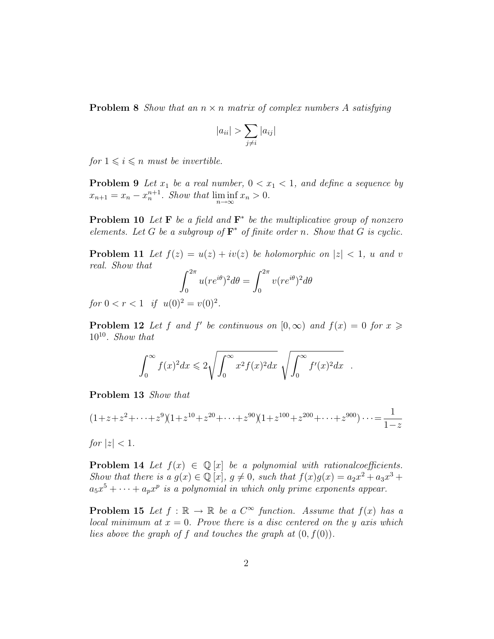**Problem 8** Show that an  $n \times n$  matrix of complex numbers A satisfying

$$
|a_{ii}| > \sum_{j \neq i} |a_{ij}|
$$

for  $1 \leq i \leq n$  must be invertible.

**Problem 9** Let  $x_1$  be a real number,  $0 < x_1 < 1$ , and define a sequence by  $x_{n+1} = x_n - x_n^{n+1}$ . Show that  $\liminf_{n \to \infty} x_n > 0$ .

**Problem 10** Let **F** be a field and  $\mathbf{F}^*$  be the multiplicative group of nonzero elements. Let G be a subgroup of  $\mathbf{F}^*$  of finite order n. Show that G is cyclic.

**Problem 11** Let  $f(z) = u(z) + iv(z)$  be holomorphic on  $|z| < 1$ , u and v real. Show that

$$
\int_0^{2\pi} u(re^{i\theta})^2 d\theta = \int_0^{2\pi} v(re^{i\theta})^2 d\theta
$$

for  $0 < r < 1$  if  $u(0)^2 = v(0)^2$ .

**Problem 12** Let f and f' be continuous on  $[0, \infty)$  and  $f(x) = 0$  for  $x \geq 0$  $10^{10}$ . Show that

$$
\int_0^\infty f(x)^2 dx \leq 2\sqrt{\int_0^\infty x^2 f(x)^2 dx} \sqrt{\int_0^\infty f'(x)^2 dx} .
$$

Problem 13 Show that

$$
(1+z+z^2+\cdots+z^9)(1+z^{10}+z^{20}+\cdots+z^{90})(1+z^{100}+z^{200}+\cdots+z^{900})\cdots=\frac{1}{1-z}
$$

for  $|z| < 1$ .

**Problem 14** Let  $f(x) \in \mathbb{Q}[x]$  be a polynomial with rationalcoefficients. Show that there is  $a g(x) \in \mathbb{Q}[x], g \neq 0$ , such that  $f(x)g(x) = a_2x^2 + a_3x^3 + a_4x^2 + a_5x^4$  $a_5x^5 + \cdots + a_px^p$  is a polynomial in which only prime exponents appear.

**Problem 15** Let  $f : \mathbb{R} \to \mathbb{R}$  be a  $C^{\infty}$  function. Assume that  $f(x)$  has a local minimum at  $x = 0$ . Prove there is a disc centered on the y axis which lies above the graph of f and touches the graph at  $(0, f(0))$ .